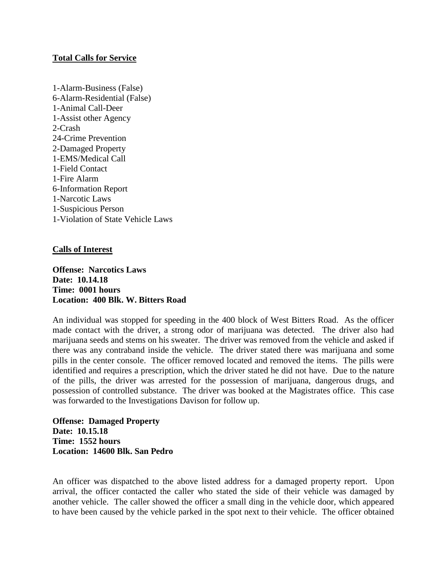### **Total Calls for Service**

1-Alarm-Business (False) 6-Alarm-Residential (False) 1-Animal Call-Deer 1-Assist other Agency 2-Crash 24-Crime Prevention 2-Damaged Property 1-EMS/Medical Call 1-Field Contact 1-Fire Alarm 6-Information Report 1-Narcotic Laws 1-Suspicious Person 1-Violation of State Vehicle Laws

### **Calls of Interest**

**Offense: Narcotics Laws Date: 10.14.18 Time: 0001 hours Location: 400 Blk. W. Bitters Road**

An individual was stopped for speeding in the 400 block of West Bitters Road. As the officer made contact with the driver, a strong odor of marijuana was detected. The driver also had marijuana seeds and stems on his sweater. The driver was removed from the vehicle and asked if there was any contraband inside the vehicle. The driver stated there was marijuana and some pills in the center console. The officer removed located and removed the items. The pills were identified and requires a prescription, which the driver stated he did not have. Due to the nature of the pills, the driver was arrested for the possession of marijuana, dangerous drugs, and possession of controlled substance. The driver was booked at the Magistrates office. This case was forwarded to the Investigations Davison for follow up.

**Offense: Damaged Property Date: 10.15.18 Time: 1552 hours Location: 14600 Blk. San Pedro**

An officer was dispatched to the above listed address for a damaged property report. Upon arrival, the officer contacted the caller who stated the side of their vehicle was damaged by another vehicle. The caller showed the officer a small ding in the vehicle door, which appeared to have been caused by the vehicle parked in the spot next to their vehicle. The officer obtained